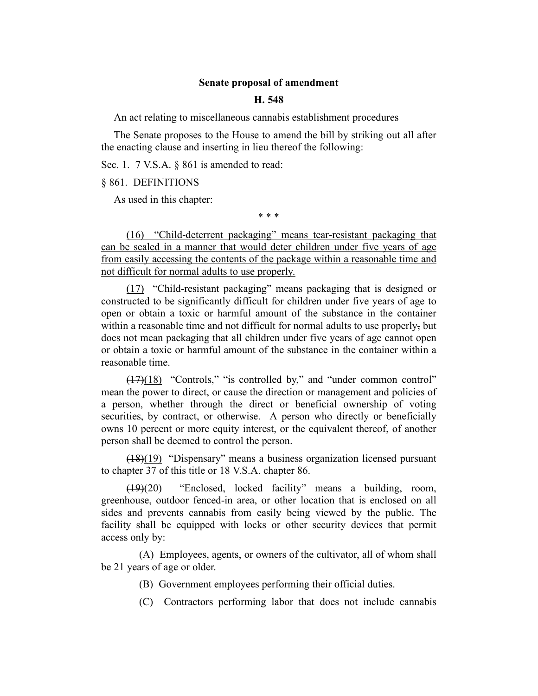## **Senate proposal of amendment**

### **H. 548**

An act relating to miscellaneous cannabis establishment procedures

The Senate proposes to the House to amend the bill by striking out all after the enacting clause and inserting in lieu thereof the following:

Sec. 1. 7 V.S.A. § 861 is amended to read:

§ 861. DEFINITIONS

As used in this chapter:

\* \* \*

(16) "Child-deterrent packaging" means tear-resistant packaging that can be sealed in a manner that would deter children under five years of age from easily accessing the contents of the package within a reasonable time and not difficult for normal adults to use properly.

(17) "Child-resistant packaging" means packaging that is designed or constructed to be significantly difficult for children under five years of age to open or obtain a toxic or harmful amount of the substance in the container within a reasonable time and not difficult for normal adults to use properly, but does not mean packaging that all children under five years of age cannot open or obtain a toxic or harmful amount of the substance in the container within a reasonable time.

(17)(18) "Controls," "is controlled by," and "under common control" mean the power to direct, or cause the direction or management and policies of a person, whether through the direct or beneficial ownership of voting securities, by contract, or otherwise. A person who directly or beneficially owns 10 percent or more equity interest, or the equivalent thereof, of another person shall be deemed to control the person.

(18)(19) "Dispensary" means a business organization licensed pursuant to chapter 37 of this title or 18 V.S.A. chapter 86.

(19)(20) "Enclosed, locked facility" means a building, room, greenhouse, outdoor fenced-in area, or other location that is enclosed on all sides and prevents cannabis from easily being viewed by the public. The facility shall be equipped with locks or other security devices that permit access only by:

(A) Employees, agents, or owners of the cultivator, all of whom shall be 21 years of age or older.

- (B) Government employees performing their official duties.
- (C) Contractors performing labor that does not include cannabis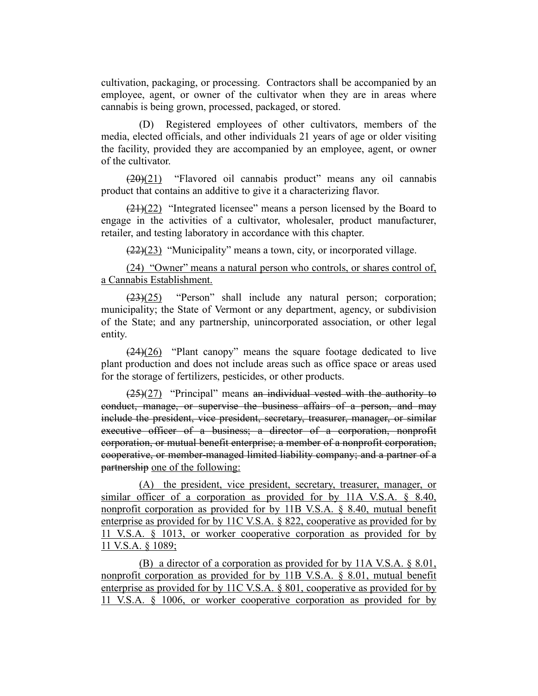cultivation, packaging, or processing. Contractors shall be accompanied by an employee, agent, or owner of the cultivator when they are in areas where cannabis is being grown, processed, packaged, or stored.

(D) Registered employees of other cultivators, members of the media, elected officials, and other individuals 21 years of age or older visiting the facility, provided they are accompanied by an employee, agent, or owner of the cultivator.

 $(20)(21)$  "Flavored oil cannabis product" means any oil cannabis product that contains an additive to give it a characterizing flavor.

 $(21)(22)$  "Integrated licensee" means a person licensed by the Board to engage in the activities of a cultivator, wholesaler, product manufacturer, retailer, and testing laboratory in accordance with this chapter.

 $(22)(23)$  "Municipality" means a town, city, or incorporated village.

(24) "Owner" means a natural person who controls, or shares control of, a Cannabis Establishment.

 $(23)(25)$  "Person" shall include any natural person; corporation; municipality; the State of Vermont or any department, agency, or subdivision of the State; and any partnership, unincorporated association, or other legal entity.

 $(24)(26)$  "Plant canopy" means the square footage dedicated to live plant production and does not include areas such as office space or areas used for the storage of fertilizers, pesticides, or other products.

 $(25)(27)$  "Principal" means an individual vested with the authority to conduct, manage, or supervise the business affairs of a person, and may include the president, vice president, secretary, treasurer, manager, or similar executive officer of a business; a director of a corporation, nonprofit corporation, or mutual benefit enterprise; a member of a nonprofit corporation, cooperative, or member-managed limited liability company; and a partner of a partnership one of the following:

(A) the president, vice president, secretary, treasurer, manager, or similar officer of a corporation as provided for by 11A V.S.A. § 8.40, nonprofit corporation as provided for by 11B V.S.A. § 8.40, mutual benefit enterprise as provided for by 11C V.S.A. § 822, cooperative as provided for by 11 V.S.A. § 1013, or worker cooperative corporation as provided for by 11 V.S.A. § 1089;

(B) a director of a corporation as provided for by 11A V.S.A. § 8.01, nonprofit corporation as provided for by 11B V.S.A. § 8.01, mutual benefit enterprise as provided for by 11C V.S.A. § 801, cooperative as provided for by 11 V.S.A. § 1006, or worker cooperative corporation as provided for by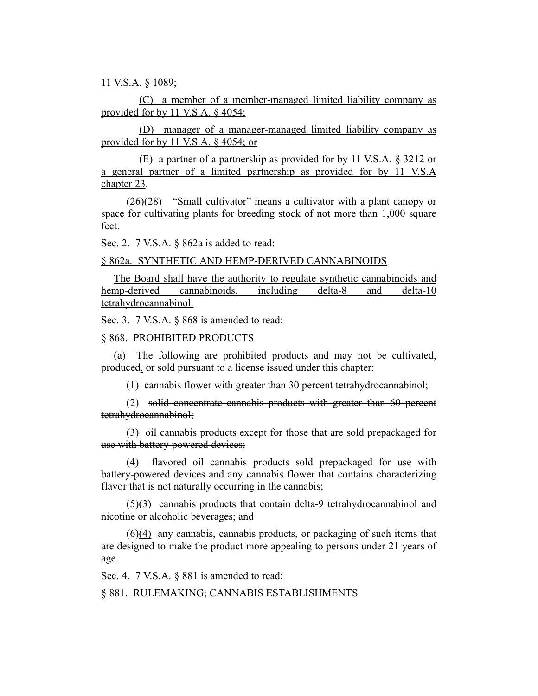11 V.S.A. § 1089;

(C) a member of a member-managed limited liability company as provided for by 11 V.S.A. § 4054;

(D) manager of a manager-managed limited liability company as provided for by 11 V.S.A. § 4054; or

(E) a partner of a partnership as provided for by 11 V.S.A. § 3212 or a general partner of a limited partnership as provided for by 11 V.S.A chapter 23.

 $(26)(28)$  "Small cultivator" means a cultivator with a plant canopy or space for cultivating plants for breeding stock of not more than 1,000 square feet.

Sec. 2. 7 V.S.A. § 862a is added to read:

### § 862a. SYNTHETIC AND HEMP-DERIVED CANNABINOIDS

The Board shall have the authority to regulate synthetic cannabinoids and hemp-derived cannabinoids, including delta-8 and delta-10 tetrahydrocannabinol.

Sec. 3. 7 V.S.A. § 868 is amended to read:

# § 868. PROHIBITED PRODUCTS

(a) The following are prohibited products and may not be cultivated, produced, or sold pursuant to a license issued under this chapter:

(1) cannabis flower with greater than 30 percent tetrahydrocannabinol;

(2) solid concentrate cannabis products with greater than 60 percent tetrahydrocannabinol;

(3) oil cannabis products except for those that are sold prepackaged for use with battery-powered devices;

(4) flavored oil cannabis products sold prepackaged for use with battery-powered devices and any cannabis flower that contains characterizing flavor that is not naturally occurring in the cannabis;

 $(5)(3)$  cannabis products that contain delta-9 tetrahydrocannabinol and nicotine or alcoholic beverages; and

 $(6)(4)$  any cannabis, cannabis products, or packaging of such items that are designed to make the product more appealing to persons under 21 years of age.

Sec. 4. 7 V.S.A. § 881 is amended to read:

#### § 881. RULEMAKING; CANNABIS ESTABLISHMENTS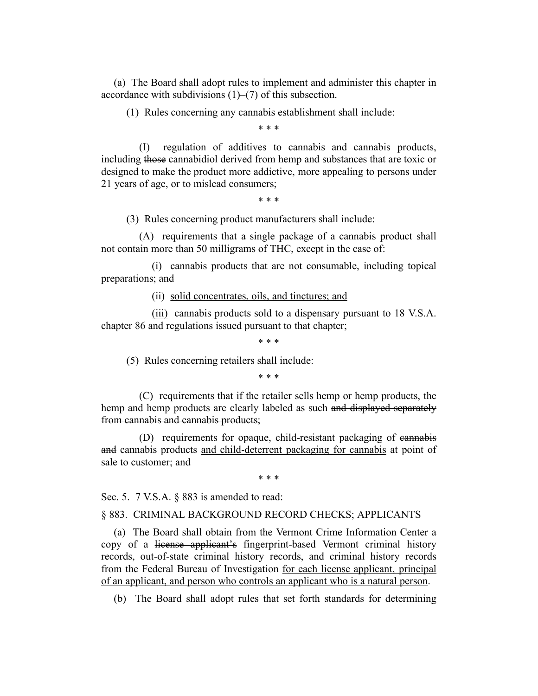(a) The Board shall adopt rules to implement and administer this chapter in accordance with subdivisions (1)–(7) of this subsection.

(1) Rules concerning any cannabis establishment shall include:

\* \* \*

(I) regulation of additives to cannabis and cannabis products, including those cannabidiol derived from hemp and substances that are toxic or designed to make the product more addictive, more appealing to persons under 21 years of age, or to mislead consumers;

\* \* \*

(3) Rules concerning product manufacturers shall include:

(A) requirements that a single package of a cannabis product shall not contain more than 50 milligrams of THC, except in the case of:

(i) cannabis products that are not consumable, including topical preparations; and

(ii) solid concentrates, oils, and tinctures; and

(iii) cannabis products sold to a dispensary pursuant to 18 V.S.A. chapter 86 and regulations issued pursuant to that chapter;

\* \* \*

(5) Rules concerning retailers shall include:

\* \* \*

(C) requirements that if the retailer sells hemp or hemp products, the hemp and hemp products are clearly labeled as such and displayed separately from cannabis and cannabis products;

(D) requirements for opaque, child-resistant packaging of cannabis and cannabis products and child-deterrent packaging for cannabis at point of sale to customer; and

\* \* \*

Sec. 5. 7 V.S.A. § 883 is amended to read:

§ 883. CRIMINAL BACKGROUND RECORD CHECKS; APPLICANTS

(a) The Board shall obtain from the Vermont Crime Information Center a copy of a license applicant's fingerprint-based Vermont criminal history records, out-of-state criminal history records, and criminal history records from the Federal Bureau of Investigation for each license applicant, principal of an applicant, and person who controls an applicant who is a natural person.

(b) The Board shall adopt rules that set forth standards for determining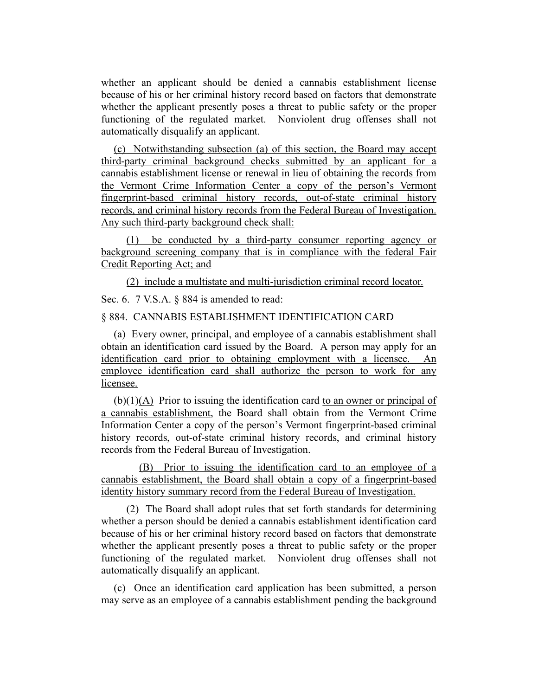whether an applicant should be denied a cannabis establishment license because of his or her criminal history record based on factors that demonstrate whether the applicant presently poses a threat to public safety or the proper functioning of the regulated market. Nonviolent drug offenses shall not automatically disqualify an applicant.

(c) Notwithstanding subsection (a) of this section, the Board may accept third-party criminal background checks submitted by an applicant for a cannabis establishment license or renewal in lieu of obtaining the records from the Vermont Crime Information Center a copy of the person's Vermont fingerprint-based criminal history records, out-of-state criminal history records, and criminal history records from the Federal Bureau of Investigation. Any such third-party background check shall:

(1) be conducted by a third-party consumer reporting agency or background screening company that is in compliance with the federal Fair Credit Reporting Act; and

(2) include a multistate and multi-jurisdiction criminal record locator.

Sec. 6. 7 V.S.A. § 884 is amended to read:

## § 884. CANNABIS ESTABLISHMENT IDENTIFICATION CARD

(a) Every owner, principal, and employee of a cannabis establishment shall obtain an identification card issued by the Board. A person may apply for an identification card prior to obtaining employment with a licensee. An employee identification card shall authorize the person to work for any licensee.

(b)(1)(A) Prior to issuing the identification card to an owner or principal of a cannabis establishment, the Board shall obtain from the Vermont Crime Information Center a copy of the person's Vermont fingerprint-based criminal history records, out-of-state criminal history records, and criminal history records from the Federal Bureau of Investigation.

(B) Prior to issuing the identification card to an employee of a cannabis establishment, the Board shall obtain a copy of a fingerprint-based identity history summary record from the Federal Bureau of Investigation.

(2) The Board shall adopt rules that set forth standards for determining whether a person should be denied a cannabis establishment identification card because of his or her criminal history record based on factors that demonstrate whether the applicant presently poses a threat to public safety or the proper functioning of the regulated market. Nonviolent drug offenses shall not automatically disqualify an applicant.

(c) Once an identification card application has been submitted, a person may serve as an employee of a cannabis establishment pending the background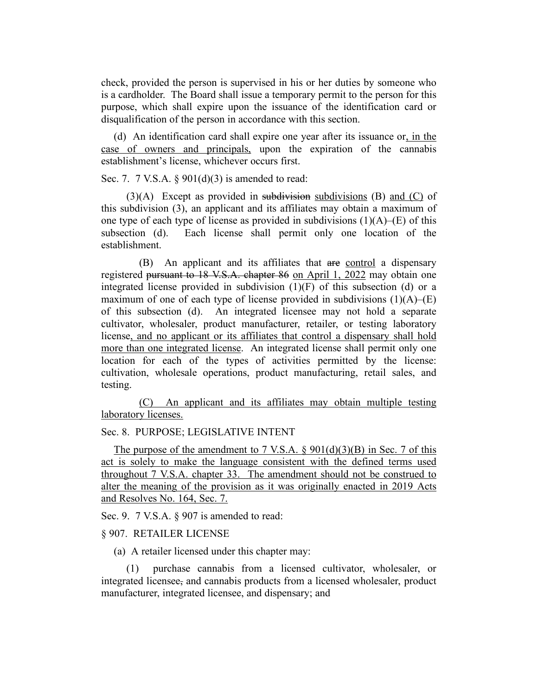check, provided the person is supervised in his or her duties by someone who is a cardholder. The Board shall issue a temporary permit to the person for this purpose, which shall expire upon the issuance of the identification card or disqualification of the person in accordance with this section.

(d) An identification card shall expire one year after its issuance or, in the case of owners and principals, upon the expiration of the cannabis establishment's license, whichever occurs first.

Sec. 7. 7 V.S.A.  $\S 901(d)(3)$  is amended to read:

 $(3)(A)$  Except as provided in subdivisions subdivisions (B) and (C) of this subdivision (3), an applicant and its affiliates may obtain a maximum of one type of each type of license as provided in subdivisions  $(1)(A)$ –(E) of this subsection (d). Each license shall permit only one location of the establishment.

(B) An applicant and its affiliates that are control a dispensary registered pursuant to 18 V.S.A. chapter 86 on April 1, 2022 may obtain one integrated license provided in subdivision (1)(F) of this subsection (d) or a maximum of one of each type of license provided in subdivisions  $(1)(A)$ – $(E)$ of this subsection (d). An integrated licensee may not hold a separate cultivator, wholesaler, product manufacturer, retailer, or testing laboratory license, and no applicant or its affiliates that control a dispensary shall hold more than one integrated license. An integrated license shall permit only one location for each of the types of activities permitted by the license: cultivation, wholesale operations, product manufacturing, retail sales, and testing.

(C) An applicant and its affiliates may obtain multiple testing laboratory licenses.

### Sec. 8. PURPOSE; LEGISLATIVE INTENT

The purpose of the amendment to 7 V.S.A.  $\S 901(d)(3)(B)$  in Sec. 7 of this act is solely to make the language consistent with the defined terms used throughout 7 V.S.A. chapter 33. The amendment should not be construed to alter the meaning of the provision as it was originally enacted in 2019 Acts and Resolves No. 164, Sec. 7.

Sec. 9. 7 V.S.A. § 907 is amended to read:

### § 907. RETAILER LICENSE

(a) A retailer licensed under this chapter may:

(1) purchase cannabis from a licensed cultivator, wholesaler, or integrated licensee, and cannabis products from a licensed wholesaler, product manufacturer, integrated licensee, and dispensary; and